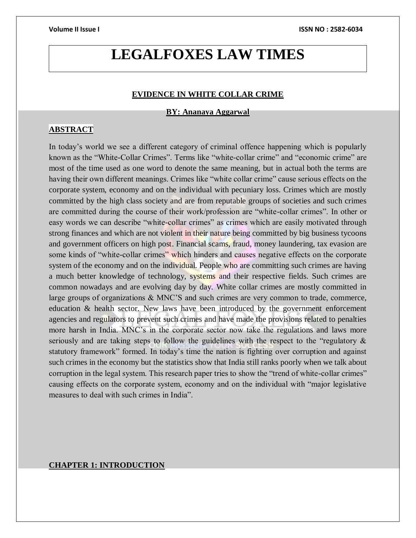# **LEGALFOXES LAW TIMES**

### **EVIDENCE IN WHITE COLLAR CRIME**

**BY: Ananaya Aggarwal**

### **ABSTRACT**

In today's world we see a different category of criminal offence happening which is popularly known as the "White-Collar Crimes". Terms like "white-collar crime" and "economic crime" are most of the time used as one word to denote the same meaning, but in actual both the terms are having their own different meanings. Crimes like "white collar crime" cause serious effects on the corporate system, economy and on the individual with pecuniary loss. Crimes which are mostly committed by the high class society and are from reputable groups of societies and such crimes are committed during the course of their work/profession are "white-collar crimes". In other or easy words we can describe "white-collar crimes" as crimes which are easily motivated through strong finances and which are not violent in their nature being committed by big business tycoons and government officers on high post. Financial scams, fraud, money laundering, tax evasion are some kinds of "white-collar crimes" which hinders and causes negative effects on the corporate system of the economy and on the individual. People who are committing such crimes are having a much better knowledge of technology, systems and their respective fields. Such crimes are common nowadays and are evolving day by day. White collar crimes are mostly committed in large groups of organizations & MNC'S and such crimes are very common to trade, commerce, education & health sector. New laws have been introduced by the government enforcement agencies and regulators to prevent such crimes and have made the provisions related to penalties more harsh in India. MNC's in the corporate sector now take the regulations and laws more seriously and are taking steps to follow the guidelines with the respect to the "regulatory & statutory framework" formed. In today's time the nation is fighting over corruption and against such crimes in the economy but the statistics show that India still ranks poorly when we talk about corruption in the legal system. This research paper tries to show the "trend of white-collar crimes" causing effects on the corporate system, economy and on the individual with "major legislative measures to deal with such crimes in India".

### **CHAPTER 1: INTRODUCTION**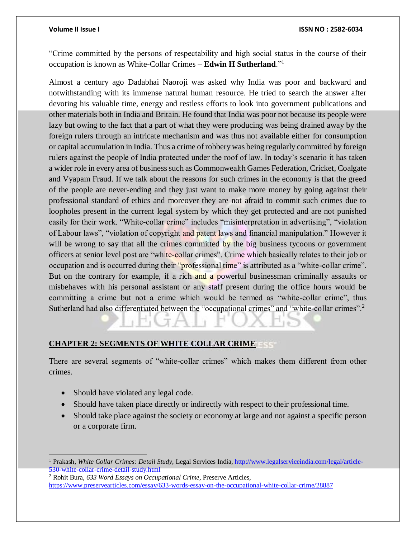"Crime committed by the persons of respectability and high social status in the course of their occupation is known as White-Collar Crimes – **Edwin H Sutherland**."<sup>1</sup>

Almost a century ago Dadabhai Naoroji was asked why India was poor and backward and notwithstanding with its immense natural human resource. He tried to search the answer after devoting his valuable time, energy and restless efforts to look into government publications and other materials both in India and Britain. He found that India was poor not because its people were lazy but owing to the fact that a part of what they were producing was being drained away by the foreign rulers through an intricate mechanism and was thus not available either for consumption or capital accumulation in India. Thus a crime of robbery was being regularly committed by foreign rulers against the people of India protected under the roof of law. In today's scenario it has taken a wider role in every area of business such as Commonwealth Games Federation, Cricket, Coalgate and Vyapam Fraud. If we talk about the reasons for such crimes in the economy is that the greed of the people are never-ending and they just want to make more money by going against their professional standard of ethics and moreover they are not afraid to commit such crimes due to loopholes present in the current legal system by which they get protected and are not punished easily for their work. "White-collar crime" includes "misinterpretation in advertising", "violation of Labour laws", "violation of copyright and patent laws and financial manipulation." However it will be wrong to say that all the crimes committed by the big business tycoons or government officers at senior level post are "white-collar crimes". Crime which basically relates to their job or occupation and is occurred during their "professional time" is attributed as a "white-collar crime". But on the contrary for example, if a rich and a powerful businessman criminally assaults or misbehaves with his personal assistant or any staff present during the office hours would be committing a crime but not a crime which would be termed as "white-collar crime", thus Sutherland had also differentiated between the "occupational crimes" and "white-collar crimes".<sup>2</sup>

# **CHAPTER 2: SEGMENTS OF WHITE COLLAR CRIME**

There are several segments of "white-collar crimes" which makes them different from other crimes.

• Should have violated any legal code.

 $\overline{a}$ 

- Should have taken place directly or indirectly with respect to their professional time.
- Should take place against the society or economy at large and not against a specific person or a corporate firm.

<sup>1</sup> Prakash, *White Collar Crimes: Detail Study,* Legal Services India[, http://www.legalserviceindia.com/legal/article-](http://www.legalserviceindia.com/legal/article-530-white-collar-crime-detail-study.html)[530-white-collar-crime-detail-study.html](http://www.legalserviceindia.com/legal/article-530-white-collar-crime-detail-study.html)

<sup>2</sup> Rohit Bura, *633 Word Essays on Occupational Crime,* Preserve Articles, <https://www.preservearticles.com/essay/633-words-essay-on-the-occupational-white-collar-crime/28887>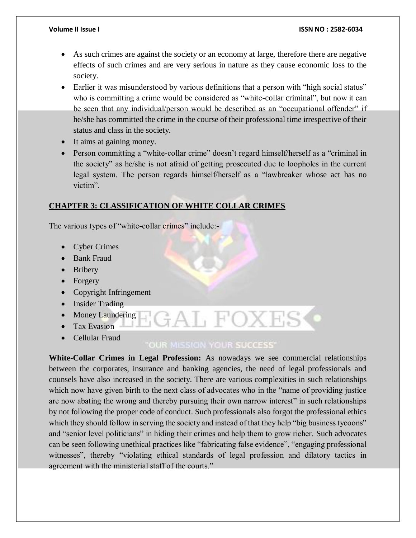### **Volume II Issue I ISSN NO : 2582-6034**

- As such crimes are against the society or an economy at large, therefore there are negative effects of such crimes and are very serious in nature as they cause economic loss to the society.
- Earlier it was misunderstood by various definitions that a person with "high social status" who is committing a crime would be considered as "white-collar criminal", but now it can be seen that any individual/person would be described as an "occupational offender" if he/she has committed the crime in the course of their professional time irrespective of their status and class in the society.
- It aims at gaining money.
- Person committing a "white-collar crime" doesn't regard himself/herself as a "criminal in the society" as he/she is not afraid of getting prosecuted due to loopholes in the current legal system. The person regards himself/herself as a "lawbreaker whose act has no victim".

# **CHAPTER 3: CLASSIFICATION OF WHITE COLLAR CRIMES**

The various types of "white-collar crimes" include:-

- Cyber Crimes
- Bank Fraud
- Bribery
- Forgery
- Copyright Infringement
- Insider Trading
- Money Laundering
- Tax Evasion
- Cellular Fraud

# **OUR MISSION YOUR SUCCESS'**

at foxt

**White-Collar Crimes in Legal Profession:** As nowadays we see commercial relationships between the corporates, insurance and banking agencies, the need of legal professionals and counsels have also increased in the society. There are various complexities in such relationships which now have given birth to the next class of advocates who in the "name of providing justice" are now abating the wrong and thereby pursuing their own narrow interest" in such relationships by not following the proper code of conduct. Such professionals also forgot the professional ethics which they should follow in serving the society and instead of that they help "big business tycoons" and "senior level politicians" in hiding their crimes and help them to grow richer. Such advocates can be seen following unethical practices like "fabricating false evidence", "engaging professional witnesses", thereby "violating ethical standards of legal profession and dilatory tactics in agreement with the ministerial staff of the courts."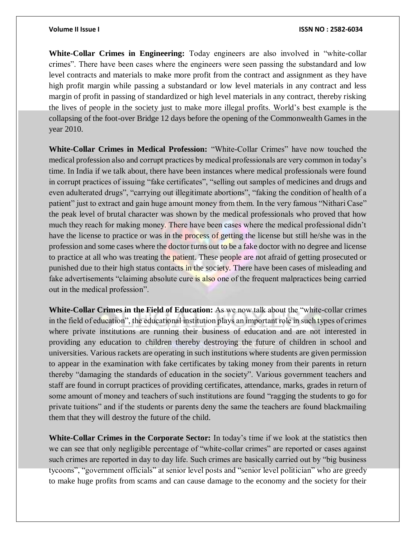**White-Collar Crimes in Engineering:** Today engineers are also involved in "white-collar crimes". There have been cases where the engineers were seen passing the substandard and low level contracts and materials to make more profit from the contract and assignment as they have high profit margin while passing a substandard or low level materials in any contract and less margin of profit in passing of standardized or high level materials in any contract, thereby risking the lives of people in the society just to make more illegal profits. World's best example is the collapsing of the foot-over Bridge 12 days before the opening of the Commonwealth Games in the year 2010.

**White-Collar Crimes in Medical Profession:** "White-Collar Crimes" have now touched the medical profession also and corrupt practices by medical professionals are very common in today's time. In India if we talk about, there have been instances where medical professionals were found in corrupt practices of issuing "fake certificates", "selling out samples of medicines and drugs and even adulterated drugs", "carrying out illegitimate abortions", "faking the condition of health of a patient" just to extract and gain huge amount money from them. In the very famous "Nithari Case" the peak level of brutal character was shown by the medical professionals who proved that how much they reach for making money. There have been cases where the medical professional didn't have the license to practice or was in the process of getting the license but still he/she was in the profession and some cases where the doctor turns out to be a fake doctor with no degree and license to practice at all who was treating the patient. These people are not afraid of getting prosecuted or punished due to their high status contacts in the society. There have been cases of misleading and fake advertisements "claiming absolute cure is also one of the frequent malpractices being carried out in the medical profession".

**White-Collar Crimes in the Field of Education:** As we now talk about the "white-collar crimes in the field of education", the educational institution plays an important role in such types of crimes where private institutions are running their business of education and are not interested in providing any education to children thereby destroying the future of children in school and universities. Various rackets are operating in such institutions where students are given permission to appear in the examination with fake certificates by taking money from their parents in return thereby "damaging the standards of education in the society". Various government teachers and staff are found in corrupt practices of providing certificates, attendance, marks, grades in return of some amount of money and teachers of such institutions are found "ragging the students to go for private tuitions" and if the students or parents deny the same the teachers are found blackmailing them that they will destroy the future of the child.

**White-Collar Crimes in the Corporate Sector:** In today's time if we look at the statistics then we can see that only negligible percentage of "white-collar crimes" are reported or cases against such crimes are reported in day to day life. Such crimes are basically carried out by "big business tycoons", "government officials" at senior level posts and "senior level politician" who are greedy to make huge profits from scams and can cause damage to the economy and the society for their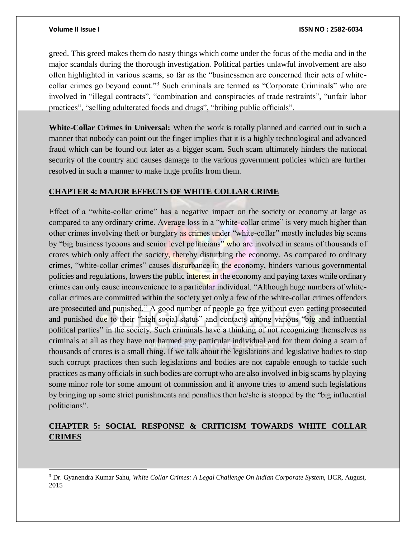l

greed. This greed makes them do nasty things which come under the focus of the media and in the major scandals during the thorough investigation. Political parties unlawful involvement are also often highlighted in various scams, so far as the "businessmen are concerned their acts of whitecollar crimes go beyond count."<sup>3</sup> Such criminals are termed as "Corporate Criminals" who are involved in "illegal contracts", "combination and conspiracies of trade restraints", "unfair labor practices", "selling adulterated foods and drugs", "bribing public officials".

**White-Collar Crimes in Universal:** When the work is totally planned and carried out in such a manner that nobody can point out the finger implies that it is a highly technological and advanced fraud which can be found out later as a bigger scam. Such scam ultimately hinders the national security of the country and causes damage to the various government policies which are further resolved in such a manner to make huge profits from them.

# **CHAPTER 4: MAJOR EFFECTS OF WHITE COLLAR CRIME**

Effect of a "white-collar crime" has a negative impact on the society or economy at large as compared to any ordinary crime. Average loss in a "white-collar crime" is very much higher than other crimes involving theft or burglary as crimes under "white-collar" mostly includes big scams by "big business tycoons and senior level politicians" who are involved in scams of thousands of crores which only affect the society, thereby disturbing the economy. As compared to ordinary crimes, "white-collar crimes" causes disturbance in the economy, hinders various governmental policies and regulations, lowers the public interest in the economy and paying taxes while ordinary crimes can only cause inconvenience to a particular individual. "Although huge numbers of whitecollar crimes are committed within the society yet only a few of the white-collar crimes offenders are prosecuted and punished." A good number of people go free without even getting prosecuted and punished due to their "high social status" and contacts among various "big and influential political parties" in the society. Such criminals have a thinking of not recognizing themselves as criminals at all as they have not harmed any particular individual and for them doing a scam of thousands of crores is a small thing. If we talk about the legislations and legislative bodies to stop such corrupt practices then such legislations and bodies are not capable enough to tackle such practices as many officials in such bodies are corrupt who are also involved in big scams by playing some minor role for some amount of commission and if anyone tries to amend such legislations by bringing up some strict punishments and penalties then he/she is stopped by the "big influential politicians".

# **CHAPTER 5: SOCIAL RESPONSE & CRITICISM TOWARDS WHITE COLLAR CRIMES**

<sup>&</sup>lt;sup>3</sup> Dr. Gyanendra Kumar Sahu, *White Collar Crimes: A Legal Challenge On Indian Corporate System, IJCR, August,* 2015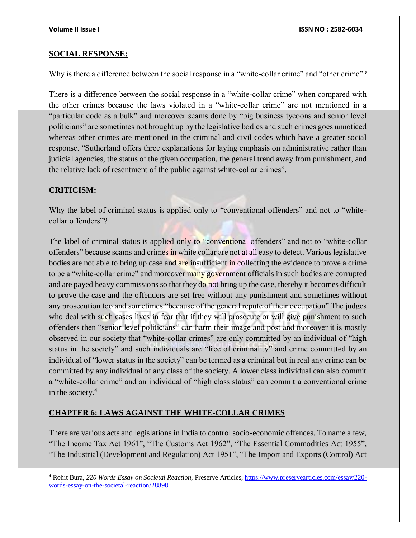### **SOCIAL RESPONSE:**

Why is there a difference between the social response in a "white-collar crime" and "other crime"?

There is a difference between the social response in a "white-collar crime" when compared with the other crimes because the laws violated in a "white-collar crime" are not mentioned in a "particular code as a bulk" and moreover scams done by "big business tycoons and senior level politicians" are sometimes not brought up by the legislative bodies and such crimes goes unnoticed whereas other crimes are mentioned in the criminal and civil codes which have a greater social response. "Sutherland offers three explanations for laying emphasis on administrative rather than judicial agencies, the status of the given occupation, the general trend away from punishment, and the relative lack of resentment of the public against white-collar crimes".

### **CRITICISM:**

l

Why the label of criminal status is applied only to "conventional offenders" and not to "whitecollar offenders"?

The label of criminal status is applied only to "conventional offenders" and not to "white-collar" offenders" because scams and crimes in white collar are not at all easy to detect. Various legislative bodies are not able to bring up case and are insufficient in collecting the evidence to prove a crime to be a "white-collar crime" and moreover many government officials in such bodies are corrupted and are payed heavy commissions so that they do not bring up the case, thereby it becomes difficult to prove the case and the offenders are set free without any punishment and sometimes without any prosecution too and sometimes "because of the general repute of their occupation" The judges who deal with such cases lives in fear that if they will prosecute or will give punishment to such offenders then "senior level politicians" can harm their image and post and moreover it is mostly observed in our society that "white-collar crimes" are only committed by an individual of "high status in the society" and such individuals are "free of criminality" and crime committed by an individual of "lower status in the society" can be termed as a criminal but in real any crime can be committed by any individual of any class of the society. A lower class individual can also commit a "white-collar crime" and an individual of "high class status" can commit a conventional crime in the society.<sup>4</sup>

# **CHAPTER 6: LAWS AGAINST THE WHITE-COLLAR CRIMES**

There are various acts and legislations in India to control socio-economic offences. To name a few, "The Income Tax Act 1961", "The Customs Act 1962", "The Essential Commodities Act 1955", "The Industrial (Development and Regulation) Act 1951", "The Import and Exports (Control) Act

<sup>4</sup> Rohit Bura, *220 Words Essay on Societal Reaction,* Preserve Articles, [https://www.preservearticles.com/essay/220](https://www.preservearticles.com/essay/220-words-essay-on-the-societal-reaction/28898) [words-essay-on-the-societal-reaction/28898](https://www.preservearticles.com/essay/220-words-essay-on-the-societal-reaction/28898)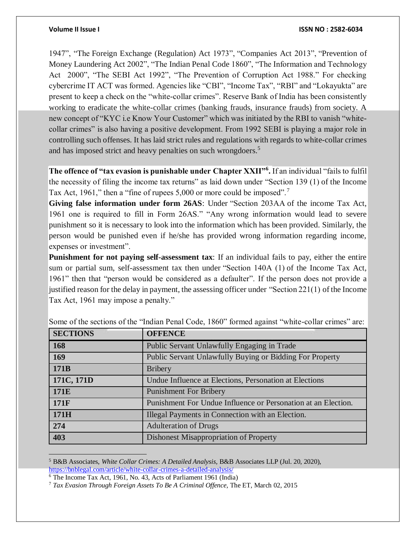1947", "The Foreign Exchange (Regulation) Act 1973", "Companies Act 2013", "Prevention of Money Laundering Act 2002", "The Indian Penal Code 1860", "The Information and Technology Act 2000", "The SEBI Act 1992", "The Prevention of Corruption Act 1988." For checking cybercrime IT ACT was formed. Agencies like "CBI", "Income Tax", "RBI" and "Lokayukta" are present to keep a check on the "white-collar crimes". Reserve Bank of India has been consistently working to eradicate the white-collar crimes (banking frauds, insurance frauds) from society. A new concept of "KYC i.e Know Your Customer" which was initiated by the RBI to vanish "whitecollar crimes" is also having a positive development. From 1992 SEBI is playing a major role in controlling such offenses. It has laid strict rules and regulations with regards to white-collar crimes and has imposed strict and heavy penalties on such wrongdoers.<sup>5</sup>

**The offence of "tax evasion is punishable under Chapter XXII"<sup>6</sup> .** If an individual "fails to fulfil the necessity of filing the income tax returns" as laid down under "Section 139 (1) of the Income Tax Act, 1961," then a "fine of rupees 5,000 or more could be imposed".<sup>7</sup>

**Giving false information under form 26AS**: Under "Section 203AA of the income Tax Act, 1961 one is required to fill in Form 26AS." "Any wrong information would lead to severe punishment so it is necessary to look into the information which has been provided. Similarly, the person would be punished even if he/she has provided wrong information regarding income, expenses or investment".

**Punishment for not paying self-assessment tax**: If an individual fails to pay, either the entire sum or partial sum, self-assessment tax then under "Section 140A (1) of the Income Tax Act, 1961" then that "person would be considered as a defaulter". If the person does not provide a justified reason for the delay in payment, the assessing officer under "Section 221(1) of the Income Tax Act, 1961 may impose a penalty."

| <b>SECTIONS</b>  | <b>OFFENCE</b>                                                |
|------------------|---------------------------------------------------------------|
| 168              | Public Servant Unlawfully Engaging in Trade                   |
| 169              | Public Servant Unlawfully Buying or Bidding For Property      |
| 171 <sub>B</sub> | <b>Bribery</b>                                                |
| 171C, 171D       | Undue Influence at Elections, Personation at Elections        |
| 171E             | <b>Punishment For Bribery</b>                                 |
| 171F             | Punishment For Undue Influence or Personation at an Election. |
| 171H             | Illegal Payments in Connection with an Election.              |
| 274              | <b>Adulteration of Drugs</b>                                  |
| 403              | <b>Dishonest Misappropriation of Property</b>                 |

Some of the sections of the "Indian Penal Code, 1860" formed against "white-collar crimes" are:

 $\overline{a}$ 

<sup>5</sup> B&B Associates, *White Collar Crimes: A Detailed Analysis,* B&B Associates LLP (Jul. 20, 2020), <https://bnblegal.com/article/white-collar-crimes-a-detailed-analysis/>

<sup>6</sup> The Income Tax Act, 1961, No. 43, Acts of Parliament 1961 (India)

<sup>7</sup> *Tax Evasion Through Foreign Assets To Be A Criminal Offence,* The ET, March 02, 2015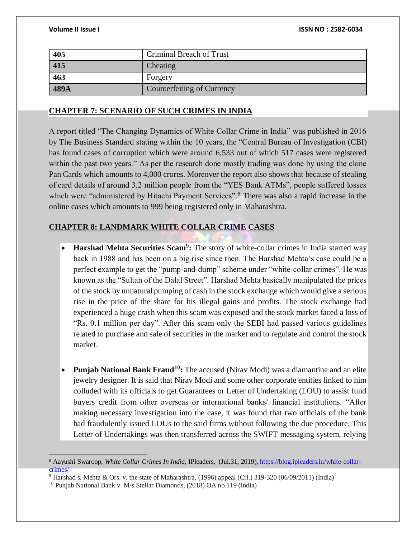| 405  | Criminal Breach of Trust   |
|------|----------------------------|
| 415  | Cheating                   |
| 463  | Forgery                    |
| 489A | Counterfeiting of Currency |

### **CHAPTER 7: SCENARIO OF SUCH CRIMES IN INDIA**

A report titled "The Changing Dynamics of White Collar Crime in India" was published in 2016 by The Business Standard stating within the 10 years, the "Central Bureau of Investigation (CBI) has found cases of corruption which were around 6,533 out of which 517 cases were registered within the past two years." As per the research done mostly trading was done by using the clone Pan Cards which amounts to 4,000 crores. Moreover the report also shows that because of stealing of card details of around 3.2 million people from the "YES Bank ATMs", people suffered losses which were "administered by Hitachi Payment Services".<sup>8</sup> There was also a rapid increase in the online cases which amounts to 999 being registered only in Maharashtra.

### **CHAPTER 8: LANDMARK WHITE COLLAR CRIME CASES**

- **Harshad Mehta Securities Scam<sup>9</sup> :** The story of white-collar crimes in India started way back in 1988 and has been on a big rise since then. The Harshad Mehta's case could be a perfect example to get the "pump-and-dump" scheme under "white-collar crimes". He was known as the "Sultan of the Dalal Street". Harshad Mehta basically manipulated the prices of the stock by unnatural pumping of cash in the stock exchange which would give a serious rise in the price of the share for his illegal gains and profits. The stock exchange had experienced a huge crash when this scam was exposed and the stock market faced a loss of "Rs. 0.1 million per day". After this scam only the SEBI had passed various guidelines related to purchase and sale of securities in the market and to regulate and control the stock market.
- **Punjab National Bank Fraud<sup>10</sup>:** The accused (Nirav Modi) was a diamantine and an elite jewelry designer. It is said that Nirav Modi and some other corporate entities linked to him colluded with its officials to get Guarantees or Letter of Undertaking (LOU) to assist fund buyers credit from other overseas or international banks/ financial institutions. "After making necessary investigation into the case, it was found that two officials of the bank had fraudulently issued LOUs to the said firms without following the due procedure. This Letter of Undertakings was then transferred across the SWIFT messaging system, relying

 $\overline{a}$ 

<sup>8</sup> Aayushi Swaroop, *White Collar Crimes In India,* IPleaders,(Jul.31, 2019)[, https://blog.ipleaders.in/white-collar](https://blog.ipleaders.in/white-collar-crimes/)[crimes/](https://blog.ipleaders.in/white-collar-crimes/)

<sup>&</sup>lt;sup>9</sup> Harshad s. Mehta & Ors. v. the state of Maharashtra, (1996) appeal (Crl.) 319-320 (06/09/2011) (India)

<sup>10</sup> Punjab National Bank v. M/s Stellar Diamonds, (2018) OA no.119 (India)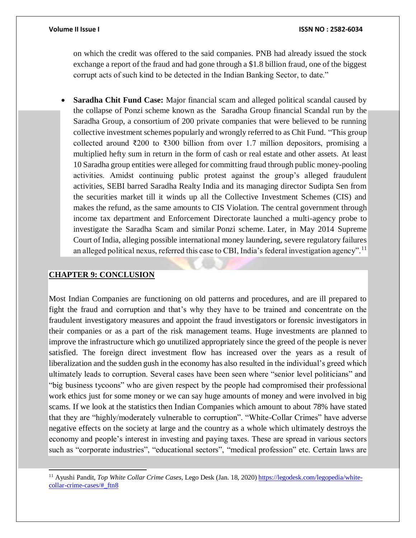on which the credit was offered to the said companies. PNB had already issued the stock exchange a report of the fraud and had gone through a \$1.8 billion fraud, one of the biggest corrupt acts of such kind to be detected in the Indian Banking Sector, to date."

 **Saradha Chit Fund Case:** Major financial scam and alleged political scandal caused by the collapse of Ponzi scheme known as the Saradha Group financial Scandal run by the Saradha Group, a consortium of 200 private companies that were believed to be running collective investment schemes popularly and wrongly referred to as Chit Fund. "This group collected around ₹200 to ₹300 billion from over 1.7 million depositors, promising a multiplied hefty sum in return in the form of cash or real estate and other assets. At least 10 Saradha group entities were alleged for committing fraud through public money-pooling activities. Amidst continuing public protest against the group's alleged fraudulent activities, SEBI barred Saradha Realty India and its managing director Sudipta Sen from the securities market till it winds up all the Collective Investment Schemes (CIS) and makes the refund, as the same amounts to CIS Violation. The central government through income tax department and Enforcement Directorate launched a multi-agency probe to investigate the Saradha Scam and similar Ponzi scheme. Later, in May 2014 Supreme Court of India, alleging possible international money laundering, severe regulatory failures an alleged political nexus, referred this case to CBI, India's federal investigation agency".<sup>11</sup>

### **CHAPTER 9: CONCLUSION**

l

Most Indian Companies are functioning on old patterns and procedures, and are ill prepared to fight the fraud and corruption and that's why they have to be trained and concentrate on the fraudulent investigatory measures and appoint the fraud investigators or forensic investigators in their companies or as a part of the risk management teams. Huge investments are planned to improve the infrastructure which go unutilized appropriately since the greed of the people is never satisfied. The foreign direct investment flow has increased over the years as a result of liberalization and the sudden gush in the economy has also resulted in the individual's greed which ultimately leads to corruption. Several cases have been seen where "senior level politicians" and "big business tycoons" who are given respect by the people had compromised their professional work ethics just for some money or we can say huge amounts of money and were involved in big scams. If we look at the statistics then Indian Companies which amount to about 78% have stated that they are "highly/moderately vulnerable to corruption". "White-Collar Crimes" have adverse negative effects on the society at large and the country as a whole which ultimately destroys the economy and people's interest in investing and paying taxes. These are spread in various sectors such as "corporate industries", "educational sectors", "medical profession" etc. Certain laws are

<sup>11</sup> Ayushi Pandit, *Top White Collar Crime Cases,* Lego Desk (Jan. 18, 2020[\) https://legodesk.com/legopedia/white](https://legodesk.com/legopedia/white-collar-crime-cases/#_ftn8)[collar-crime-cases/#\\_ftn8](https://legodesk.com/legopedia/white-collar-crime-cases/#_ftn8)